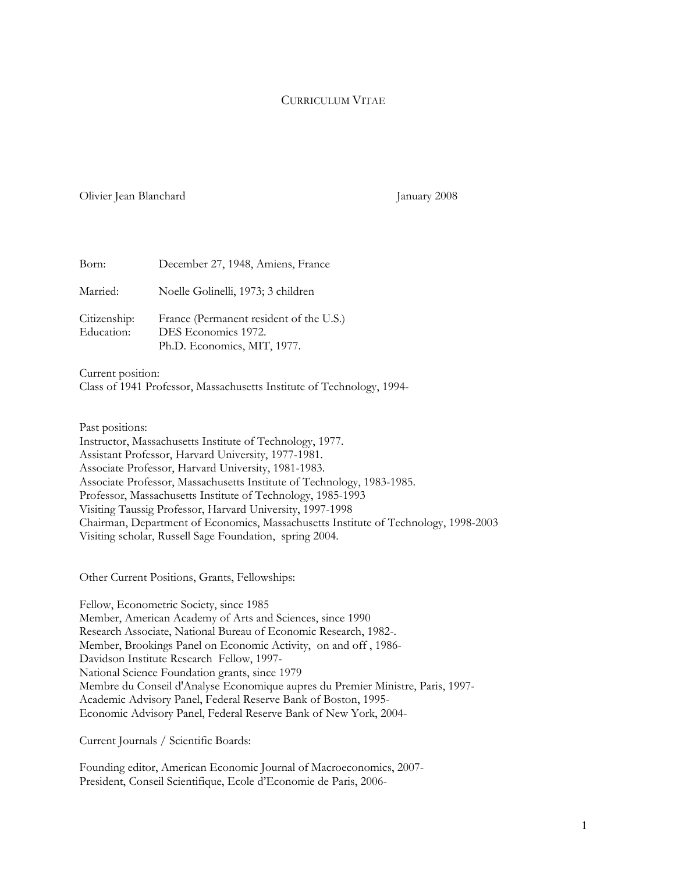# CURRICULUM VITAE

### Olivier Jean Blanchard January 2008

| Born:                      | December 27, 1948, Amiens, France                                                             |
|----------------------------|-----------------------------------------------------------------------------------------------|
| Married:                   | Noelle Golinelli, 1973; 3 children                                                            |
| Citizenship:<br>Education: | France (Permanent resident of the U.S.)<br>DES Economics 1972.<br>Ph.D. Economics, MIT, 1977. |

Current position: Class of 1941 Professor, Massachusetts Institute of Technology, 1994-

Past positions: Instructor, Massachusetts Institute of Technology, 1977. Assistant Professor, Harvard University, 1977-1981. Associate Professor, Harvard University, 1981-1983. Associate Professor, Massachusetts Institute of Technology, 1983-1985. Professor, Massachusetts Institute of Technology, 1985-1993 Visiting Taussig Professor, Harvard University, 1997-1998 Chairman, Department of Economics, Massachusetts Institute of Technology, 1998-2003 Visiting scholar, Russell Sage Foundation, spring 2004.

Other Current Positions, Grants, Fellowships:

Fellow, Econometric Society, since 1985 Member, American Academy of Arts and Sciences, since 1990 Research Associate, National Bureau of Economic Research, 1982-. Member, Brookings Panel on Economic Activity, on and off , 1986- Davidson Institute Research Fellow, 1997- National Science Foundation grants, since 1979 Membre du Conseil d'Analyse Economique aupres du Premier Ministre, Paris, 1997- Academic Advisory Panel, Federal Reserve Bank of Boston, 1995- Economic Advisory Panel, Federal Reserve Bank of New York, 2004-

Current Journals / Scientific Boards:

Founding editor, American Economic Journal of Macroeconomics, 2007- President, Conseil Scientifique, Ecole d'Economie de Paris, 2006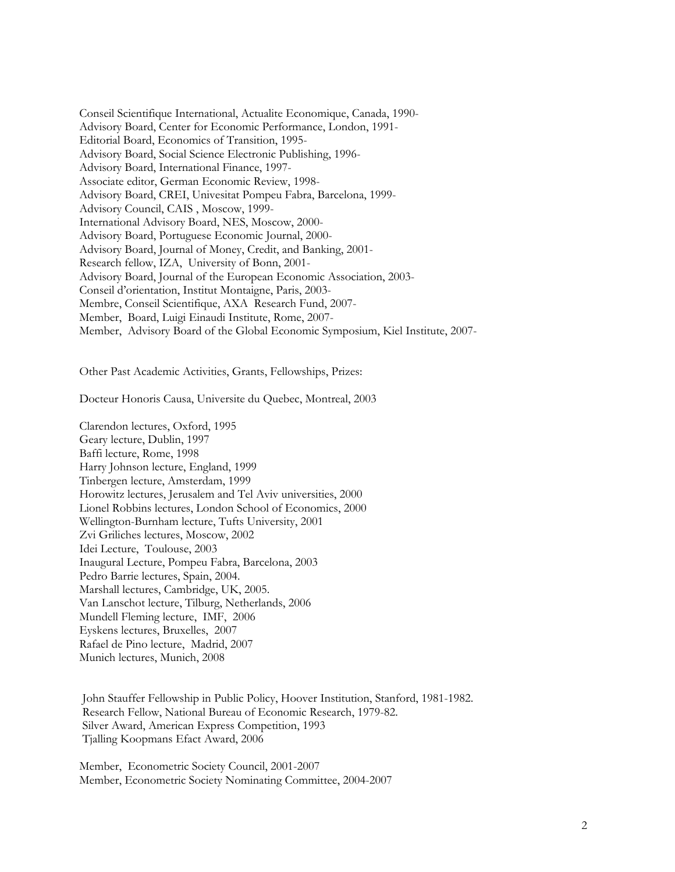Conseil Scientifique International, Actualite Economique, Canada, 1990- Advisory Board, Center for Economic Performance, London, 1991- Editorial Board, Economics of Transition, 1995- Advisory Board, Social Science Electronic Publishing, 1996- Advisory Board, International Finance, 1997- Associate editor, German Economic Review, 1998- Advisory Board, CREI, Univesitat Pompeu Fabra, Barcelona, 1999- Advisory Council, CAIS , Moscow, 1999- International Advisory Board, NES, Moscow, 2000- Advisory Board, Portuguese Economic Journal, 2000- Advisory Board, Journal of Money, Credit, and Banking, 2001- Research fellow, IZA, University of Bonn, 2001- Advisory Board, Journal of the European Economic Association, 2003- Conseil d'orientation, Institut Montaigne, Paris, 2003- Membre, Conseil Scientifique, AXA Research Fund, 2007- Member, Board, Luigi Einaudi Institute, Rome, 2007- Member, Advisory Board of the Global Economic Symposium, Kiel Institute, 2007-

Other Past Academic Activities, Grants, Fellowships, Prizes:

Docteur Honoris Causa, Universite du Quebec, Montreal, 2003

Clarendon lectures, Oxford, 1995 Geary lecture, Dublin, 1997 Baffi lecture, Rome, 1998 Harry Johnson lecture, England, 1999 Tinbergen lecture, Amsterdam, 1999 Horowitz lectures, Jerusalem and Tel Aviv universities, 2000 Lionel Robbins lectures, London School of Economics, 2000 Wellington-Burnham lecture, Tufts University, 2001 Zvi Griliches lectures, Moscow, 2002 Idei Lecture, Toulouse, 2003 Inaugural Lecture, Pompeu Fabra, Barcelona, 2003 Pedro Barrie lectures, Spain, 2004. Marshall lectures, Cambridge, UK, 2005. Van Lanschot lecture, Tilburg, Netherlands, 2006 Mundell Fleming lecture, IMF, 2006 Eyskens lectures, Bruxelles, 2007 Rafael de Pino lecture, Madrid, 2007 Munich lectures, Munich, 2008

 John Stauffer Fellowship in Public Policy, Hoover Institution, Stanford, 1981-1982. Research Fellow, National Bureau of Economic Research, 1979-82. Silver Award, American Express Competition, 1993 Tjalling Koopmans Efact Award, 2006

Member, Econometric Society Council, 2001-2007 Member, Econometric Society Nominating Committee, 2004-2007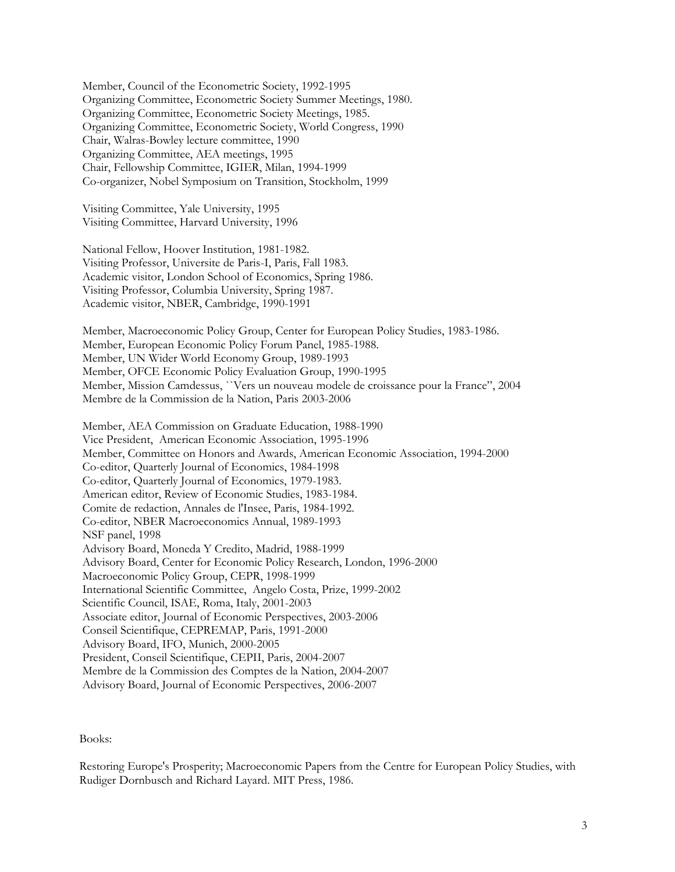Member, Council of the Econometric Society, 1992-1995 Organizing Committee, Econometric Society Summer Meetings, 1980. Organizing Committee, Econometric Society Meetings, 1985. Organizing Committee, Econometric Society, World Congress, 1990 Chair, Walras-Bowley lecture committee, 1990 Organizing Committee, AEA meetings, 1995 Chair, Fellowship Committee, IGIER, Milan, 1994-1999 Co-organizer, Nobel Symposium on Transition, Stockholm, 1999

 Visiting Committee, Yale University, 1995 Visiting Committee, Harvard University, 1996

 National Fellow, Hoover Institution, 1981-1982. Visiting Professor, Universite de Paris-I, Paris, Fall 1983. Academic visitor, London School of Economics, Spring 1986. Visiting Professor, Columbia University, Spring 1987. Academic visitor, NBER, Cambridge, 1990-1991

 Member, Macroeconomic Policy Group, Center for European Policy Studies, 1983-1986. Member, European Economic Policy Forum Panel, 1985-1988. Member, UN Wider World Economy Group, 1989-1993 Member, OFCE Economic Policy Evaluation Group, 1990-1995 Member, Mission Camdessus, ``Vers un nouveau modele de croissance pour la France", 2004 Membre de la Commission de la Nation, Paris 2003-2006

 Member, AEA Commission on Graduate Education, 1988-1990 Vice President, American Economic Association, 1995-1996 Member, Committee on Honors and Awards, American Economic Association, 1994-2000 Co-editor, Quarterly Journal of Economics, 1984-1998 Co-editor, Quarterly Journal of Economics, 1979-1983. American editor, Review of Economic Studies, 1983-1984. Comite de redaction, Annales de l'Insee, Paris, 1984-1992. Co-editor, NBER Macroeconomics Annual, 1989-1993 NSF panel, 1998 Advisory Board, Moneda Y Credito, Madrid, 1988-1999 Advisory Board, Center for Economic Policy Research, London, 1996-2000 Macroeconomic Policy Group, CEPR, 1998-1999 International Scientific Committee, Angelo Costa, Prize, 1999-2002 Scientific Council, ISAE, Roma, Italy, 2001-2003 Associate editor, Journal of Economic Perspectives, 2003-2006 Conseil Scientifique, CEPREMAP, Paris, 1991-2000 Advisory Board, IFO, Munich, 2000-2005 President, Conseil Scientifique, CEPII, Paris, 2004-2007 Membre de la Commission des Comptes de la Nation, 2004-2007 Advisory Board, Journal of Economic Perspectives, 2006-2007

Books:

Restoring Europe's Prosperity; Macroeconomic Papers from the Centre for European Policy Studies, with Rudiger Dornbusch and Richard Layard. MIT Press, 1986.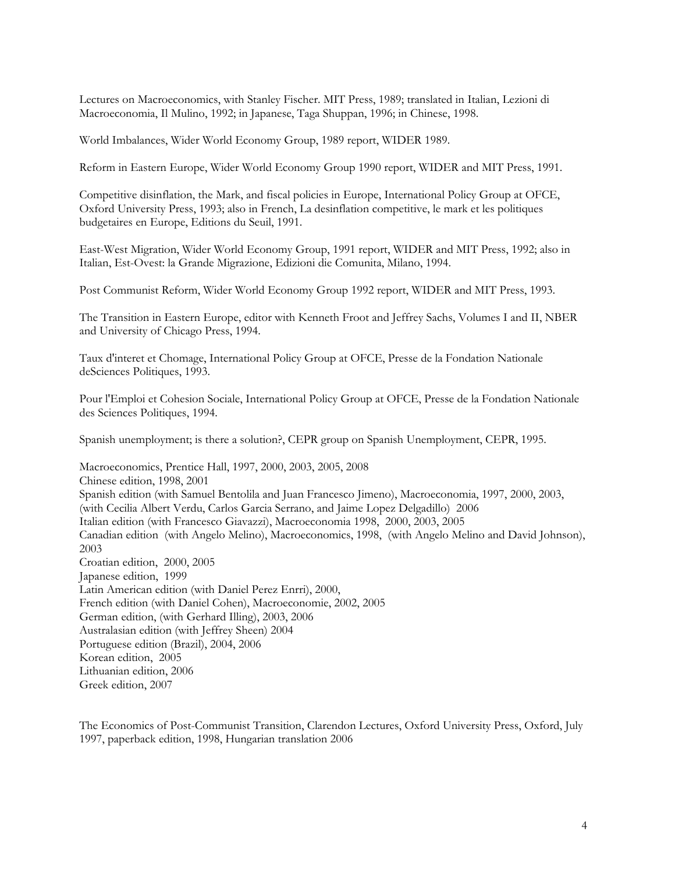Lectures on Macroeconomics, with Stanley Fischer. MIT Press, 1989; translated in Italian, Lezioni di Macroeconomia, Il Mulino, 1992; in Japanese, Taga Shuppan, 1996; in Chinese, 1998.

World Imbalances, Wider World Economy Group, 1989 report, WIDER 1989.

Reform in Eastern Europe, Wider World Economy Group 1990 report, WIDER and MIT Press, 1991.

Competitive disinflation, the Mark, and fiscal policies in Europe, International Policy Group at OFCE, Oxford University Press, 1993; also in French, La desinflation competitive, le mark et les politiques budgetaires en Europe, Editions du Seuil, 1991.

East-West Migration, Wider World Economy Group, 1991 report, WIDER and MIT Press, 1992; also in Italian, Est-Ovest: la Grande Migrazione, Edizioni die Comunita, Milano, 1994.

Post Communist Reform, Wider World Economy Group 1992 report, WIDER and MIT Press, 1993.

The Transition in Eastern Europe, editor with Kenneth Froot and Jeffrey Sachs, Volumes I and II, NBER and University of Chicago Press, 1994.

Taux d'interet et Chomage, International Policy Group at OFCE, Presse de la Fondation Nationale deSciences Politiques, 1993.

Pour l'Emploi et Cohesion Sociale, International Policy Group at OFCE, Presse de la Fondation Nationale des Sciences Politiques, 1994.

Spanish unemployment; is there a solution?, CEPR group on Spanish Unemployment, CEPR, 1995.

Macroeconomics, Prentice Hall, 1997, 2000, 2003, 2005, 2008 Chinese edition, 1998, 2001 Spanish edition (with Samuel Bentolila and Juan Francesco Jimeno), Macroeconomia, 1997, 2000, 2003, (with Cecilia Albert Verdu, Carlos Garcia Serrano, and Jaime Lopez Delgadillo) 2006 Italian edition (with Francesco Giavazzi), Macroeconomia 1998, 2000, 2003, 2005 Canadian edition (with Angelo Melino), Macroeconomics, 1998, (with Angelo Melino and David Johnson), 2003 Croatian edition, 2000, 2005 Japanese edition, 1999 Latin American edition (with Daniel Perez Enrri), 2000, French edition (with Daniel Cohen), Macroeconomie, 2002, 2005 German edition, (with Gerhard Illing), 2003, 2006 Australasian edition (with Jeffrey Sheen) 2004 Portuguese edition (Brazil), 2004, 2006 Korean edition, 2005 Lithuanian edition, 2006 Greek edition, 2007

The Economics of Post-Communist Transition, Clarendon Lectures, Oxford University Press, Oxford, July 1997, paperback edition, 1998, Hungarian translation 2006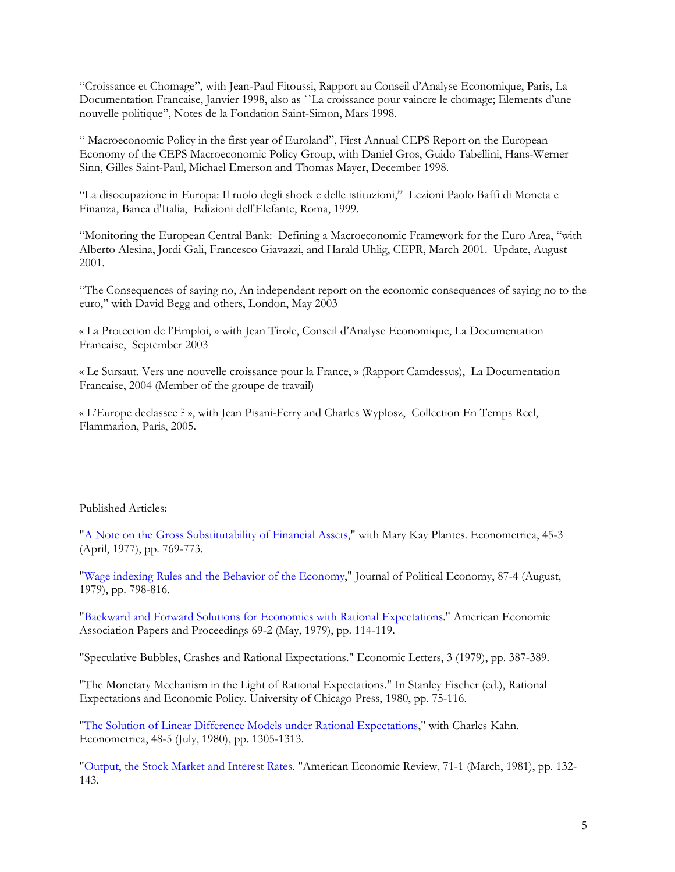"Croissance et Chomage", with Jean-Paul Fitoussi, Rapport au Conseil d'Analyse Economique, Paris, La Documentation Francaise, Janvier 1998, also as ``La croissance pour vaincre le chomage; Elements d'une nouvelle politique'', Notes de la Fondation Saint-Simon, Mars 1998.

" Macroeconomic Policy in the first year of Euroland", First Annual CEPS Report on the European Economy of the CEPS Macroeconomic Policy Group, with Daniel Gros, Guido Tabellini, Hans-Werner Sinn, Gilles Saint-Paul, Michael Emerson and Thomas Mayer, December 1998.

"La disocupazione in Europa: Il ruolo degli shock e delle istituzioni," Lezioni Paolo Baffi di Moneta e Finanza, Banca d'Italia, Edizioni dell'Elefante, Roma, 1999.

"Monitoring the European Central Bank: Defining a Macroeconomic Framework for the Euro Area, "with Alberto Alesina, Jordi Gali, Francesco Giavazzi, and Harald Uhlig, CEPR, March 2001. Update, August 2001.

"The Consequences of saying no, An independent report on the economic consequences of saying no to the euro,'' with David Begg and others, London, May 2003

« La Protection de l'Emploi, » with Jean Tirole, Conseil d'Analyse Economique, La Documentation Francaise, September 2003

« Le Sursaut. Vers une nouvelle croissance pour la France, » (Rapport Camdessus), La Documentation Francaise, 2004 (Member of the groupe de travail)

« L'Europe declassee ? », with Jean Pisani-Ferry and Charles Wyplosz, Collection En Temps Reel, Flammarion, Paris, 2005.

## Published Articles:

"A Note on the Gross Substitutability of Financial Assets," with Mary Kay Plantes. Econometrica, 45-3 (April, 1977), pp. 769-773.

"Wage indexing Rules and the Behavior of the Economy," Journal of Political Economy, 87-4 (August, 1979), pp. 798-816.

"Backward and Forward Solutions for Economies with Rational Expectations." American Economic Association Papers and Proceedings 69-2 (May, 1979), pp. 114-119.

"Speculative Bubbles, Crashes and Rational Expectations." Economic Letters, 3 (1979), pp. 387-389.

"The Monetary Mechanism in the Light of Rational Expectations." In Stanley Fischer (ed.), Rational Expectations and Economic Policy. University of Chicago Press, 1980, pp. 75-116.

"The Solution of Linear Difference Models under Rational Expectations," with Charles Kahn. Econometrica, 48-5 (July, 1980), pp. 1305-1313.

"Output, the Stock Market and Interest Rates. "American Economic Review, 71-1 (March, 1981), pp. 132- 143.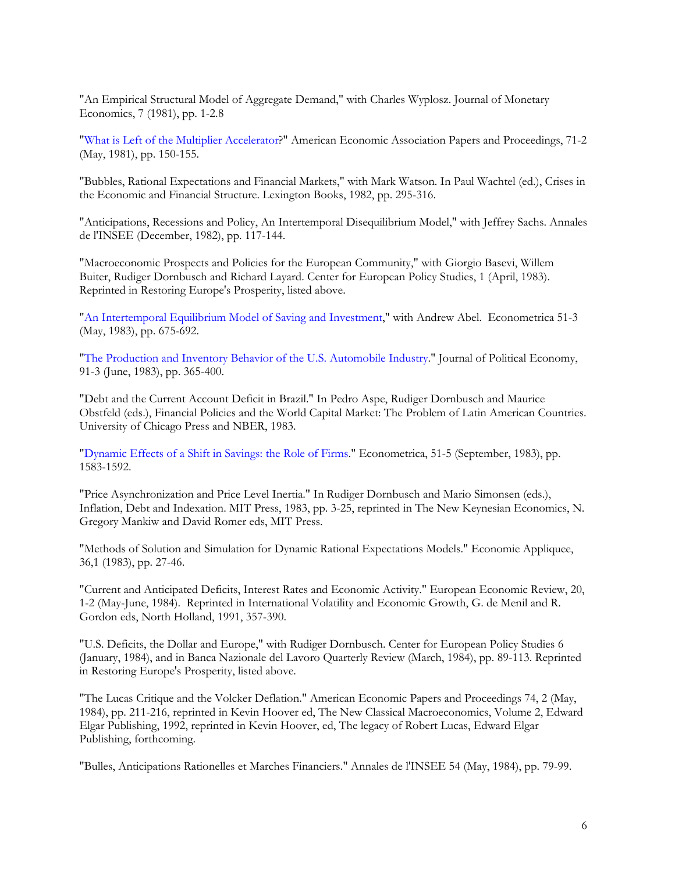"An Empirical Structural Model of Aggregate Demand," with Charles Wyplosz. Journal of Monetary Economics, 7 (1981), pp. 1-2.8

"What is Left of the Multiplier Accelerator?" American Economic Association Papers and Proceedings, 71-2 (May, 1981), pp. 150-155.

"Bubbles, Rational Expectations and Financial Markets," with Mark Watson. In Paul Wachtel (ed.), Crises in the Economic and Financial Structure. Lexington Books, 1982, pp. 295-316.

"Anticipations, Recessions and Policy, An Intertemporal Disequilibrium Model," with Jeffrey Sachs. Annales de l'INSEE (December, 1982), pp. 117-144.

"Macroeconomic Prospects and Policies for the European Community," with Giorgio Basevi, Willem Buiter, Rudiger Dornbusch and Richard Layard. Center for European Policy Studies, 1 (April, 1983). Reprinted in Restoring Europe's Prosperity, listed above.

"An Intertemporal Equilibrium Model of Saving and Investment," with Andrew Abel. Econometrica 51-3 (May, 1983), pp. 675-692.

"The Production and Inventory Behavior of the U.S. Automobile Industry." Journal of Political Economy, 91-3 (June, 1983), pp. 365-400.

"Debt and the Current Account Deficit in Brazil." In Pedro Aspe, Rudiger Dornbusch and Maurice Obstfeld (eds.), Financial Policies and the World Capital Market: The Problem of Latin American Countries. University of Chicago Press and NBER, 1983.

"Dynamic Effects of a Shift in Savings: the Role of Firms." Econometrica, 51-5 (September, 1983), pp. 1583-1592.

"Price Asynchronization and Price Level Inertia." In Rudiger Dornbusch and Mario Simonsen (eds.), Inflation, Debt and Indexation. MIT Press, 1983, pp. 3-25, reprinted in The New Keynesian Economics, N. Gregory Mankiw and David Romer eds, MIT Press.

"Methods of Solution and Simulation for Dynamic Rational Expectations Models." Economie Appliquee, 36,1 (1983), pp. 27-46.

"Current and Anticipated Deficits, Interest Rates and Economic Activity." European Economic Review, 20, 1-2 (May-June, 1984). Reprinted in International Volatility and Economic Growth, G. de Menil and R. Gordon eds, North Holland, 1991, 357-390.

"U.S. Deficits, the Dollar and Europe," with Rudiger Dornbusch. Center for European Policy Studies 6 (January, 1984), and in Banca Nazionale del Lavoro Quarterly Review (March, 1984), pp. 89-113. Reprinted in Restoring Europe's Prosperity, listed above.

"The Lucas Critique and the Volcker Deflation." American Economic Papers and Proceedings 74, 2 (May, 1984), pp. 211-216, reprinted in Kevin Hoover ed, The New Classical Macroeconomics, Volume 2, Edward Elgar Publishing, 1992, reprinted in Kevin Hoover, ed, The legacy of Robert Lucas, Edward Elgar Publishing, forthcoming.

"Bulles, Anticipations Rationelles et Marches Financiers." Annales de l'INSEE 54 (May, 1984), pp. 79-99.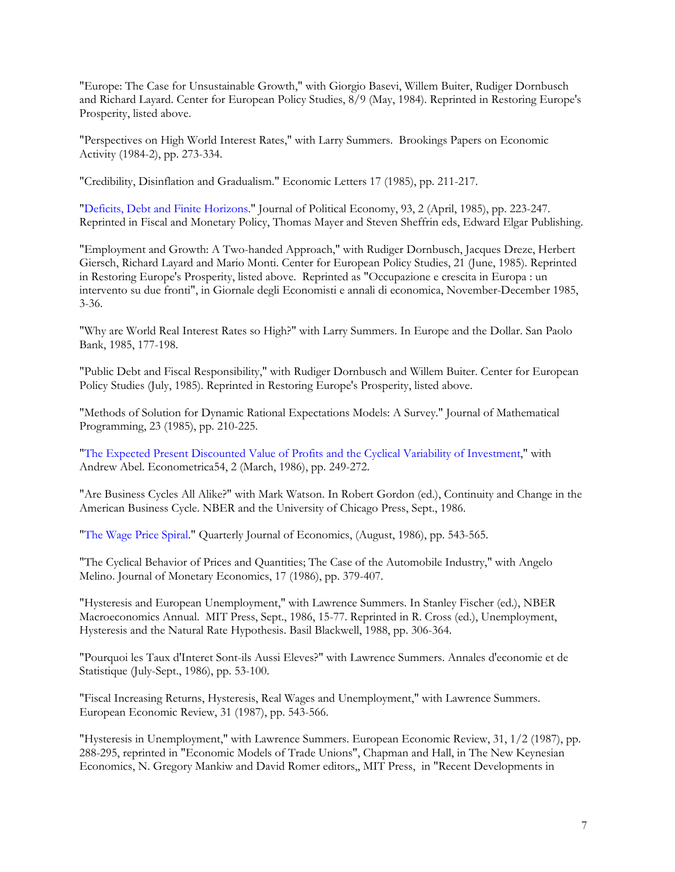"Europe: The Case for Unsustainable Growth," with Giorgio Basevi, Willem Buiter, Rudiger Dornbusch and Richard Layard. Center for European Policy Studies, 8/9 (May, 1984). Reprinted in Restoring Europe's Prosperity, listed above.

"Perspectives on High World Interest Rates," with Larry Summers. Brookings Papers on Economic Activity (1984-2), pp. 273-334.

"Credibility, Disinflation and Gradualism." Economic Letters 17 (1985), pp. 211-217.

"Deficits, Debt and Finite Horizons." Journal of Political Economy, 93, 2 (April, 1985), pp. 223-247. Reprinted in Fiscal and Monetary Policy, Thomas Mayer and Steven Sheffrin eds, Edward Elgar Publishing.

"Employment and Growth: A Two-handed Approach," with Rudiger Dornbusch, Jacques Dreze, Herbert Giersch, Richard Layard and Mario Monti. Center for European Policy Studies, 21 (June, 1985). Reprinted in Restoring Europe's Prosperity, listed above. Reprinted as "Occupazione e crescita in Europa : un intervento su due fronti", in Giornale degli Economisti e annali di economica, November-December 1985, 3-36.

"Why are World Real Interest Rates so High?" with Larry Summers. In Europe and the Dollar. San Paolo Bank, 1985, 177-198.

"Public Debt and Fiscal Responsibility," with Rudiger Dornbusch and Willem Buiter. Center for European Policy Studies (July, 1985). Reprinted in Restoring Europe's Prosperity, listed above.

"Methods of Solution for Dynamic Rational Expectations Models: A Survey." Journal of Mathematical Programming, 23 (1985), pp. 210-225.

"The Expected Present Discounted Value of Profits and the Cyclical Variability of Investment," with Andrew Abel. Econometrica54, 2 (March, 1986), pp. 249-272.

"Are Business Cycles All Alike?" with Mark Watson. In Robert Gordon (ed.), Continuity and Change in the American Business Cycle. NBER and the University of Chicago Press, Sept., 1986.

"The Wage Price Spiral." Quarterly Journal of Economics, (August, 1986), pp. 543-565.

"The Cyclical Behavior of Prices and Quantities; The Case of the Automobile Industry," with Angelo Melino. Journal of Monetary Economics, 17 (1986), pp. 379-407.

"Hysteresis and European Unemployment," with Lawrence Summers. In Stanley Fischer (ed.), NBER Macroeconomics Annual. MIT Press, Sept., 1986, 15-77. Reprinted in R. Cross (ed.), Unemployment, Hysteresis and the Natural Rate Hypothesis. Basil Blackwell, 1988, pp. 306-364.

"Pourquoi les Taux d'Interet Sont-ils Aussi Eleves?" with Lawrence Summers. Annales d'economie et de Statistique (July-Sept., 1986), pp. 53-100.

"Fiscal Increasing Returns, Hysteresis, Real Wages and Unemployment," with Lawrence Summers. European Economic Review, 31 (1987), pp. 543-566.

"Hysteresis in Unemployment," with Lawrence Summers. European Economic Review, 31, 1/2 (1987), pp. 288-295, reprinted in "Economic Models of Trade Unions", Chapman and Hall, in The New Keynesian Economics, N. Gregory Mankiw and David Romer editors,, MIT Press, in "Recent Developments in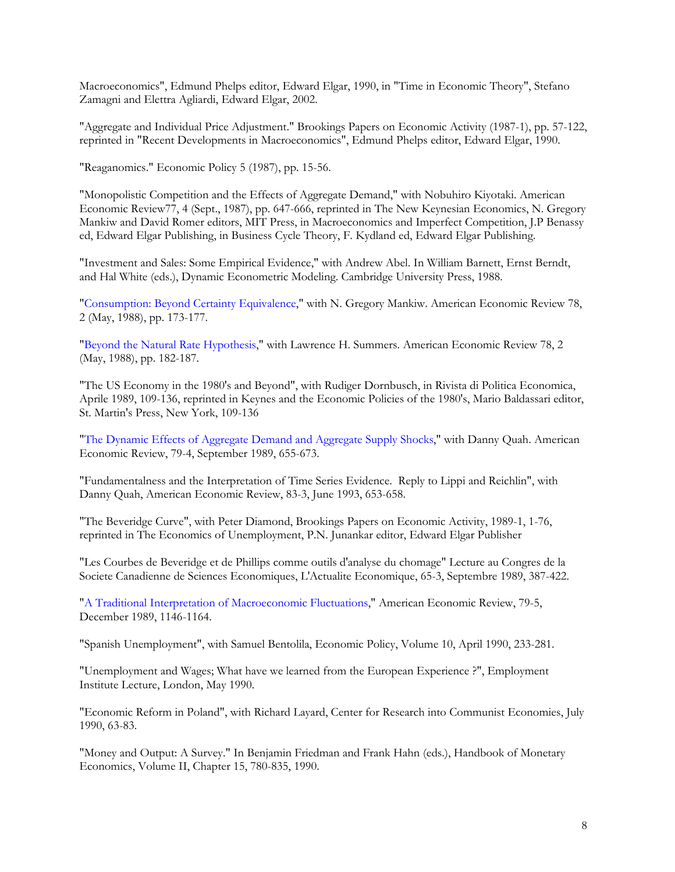Macroeconomics", Edmund Phelps editor, Edward Elgar, 1990, in "Time in Economic Theory", Stefano Zamagni and Elettra Agliardi, Edward Elgar, 2002.

"Aggregate and Individual Price Adjustment." Brookings Papers on Economic Activity (1987-1), pp. 57-122, reprinted in "Recent Developments in Macroeconomics", Edmund Phelps editor, Edward Elgar, 1990.

"Reaganomics." Economic Policy 5 (1987), pp. 15-56.

"Monopolistic Competition and the Effects of Aggregate Demand," with Nobuhiro Kiyotaki. American Economic Review77, 4 (Sept., 1987), pp. 647-666, reprinted in The New Keynesian Economics, N. Gregory Mankiw and David Romer editors, MIT Press, in Macroeconomics and Imperfect Competition, J.P Benassy ed, Edward Elgar Publishing, in Business Cycle Theory, F. Kydland ed, Edward Elgar Publishing.

"Investment and Sales: Some Empirical Evidence," with Andrew Abel. In William Barnett, Ernst Berndt, and Hal White (eds.), Dynamic Econometric Modeling. Cambridge University Press, 1988.

"Consumption: Beyond Certainty Equivalence," with N. Gregory Mankiw. American Economic Review 78, 2 (May, 1988), pp. 173-177.

"Beyond the Natural Rate Hypothesis," with Lawrence H. Summers. American Economic Review 78, 2 (May, 1988), pp. 182-187.

"The US Economy in the 1980's and Beyond", with Rudiger Dornbusch, in Rivista di Politica Economica, Aprile 1989, 109-136, reprinted in Keynes and the Economic Policies of the 1980's, Mario Baldassari editor, St. Martin's Press, New York, 109-136

"The Dynamic Effects of Aggregate Demand and Aggregate Supply Shocks," with Danny Quah. American Economic Review, 79-4, September 1989, 655-673.

"Fundamentalness and the Interpretation of Time Series Evidence. Reply to Lippi and Reichlin", with Danny Quah, American Economic Review, 83-3, June 1993, 653-658.

"The Beveridge Curve", with Peter Diamond, Brookings Papers on Economic Activity, 1989-1, 1-76, reprinted in The Economics of Unemployment, P.N. Junankar editor, Edward Elgar Publisher

"Les Courbes de Beveridge et de Phillips comme outils d'analyse du chomage" Lecture au Congres de la Societe Canadienne de Sciences Economiques, L'Actualite Economique, 65-3, Septembre 1989, 387-422.

"A Traditional Interpretation of Macroeconomic Fluctuations," American Economic Review, 79-5, December 1989, 1146-1164.

"Spanish Unemployment", with Samuel Bentolila, Economic Policy, Volume 10, April 1990, 233-281.

"Unemployment and Wages; What have we learned from the European Experience ?", Employment Institute Lecture, London, May 1990.

"Economic Reform in Poland", with Richard Layard, Center for Research into Communist Economies, July 1990, 63-83.

"Money and Output: A Survey." In Benjamin Friedman and Frank Hahn (eds.), Handbook of Monetary Economics, Volume II, Chapter 15, 780-835, 1990.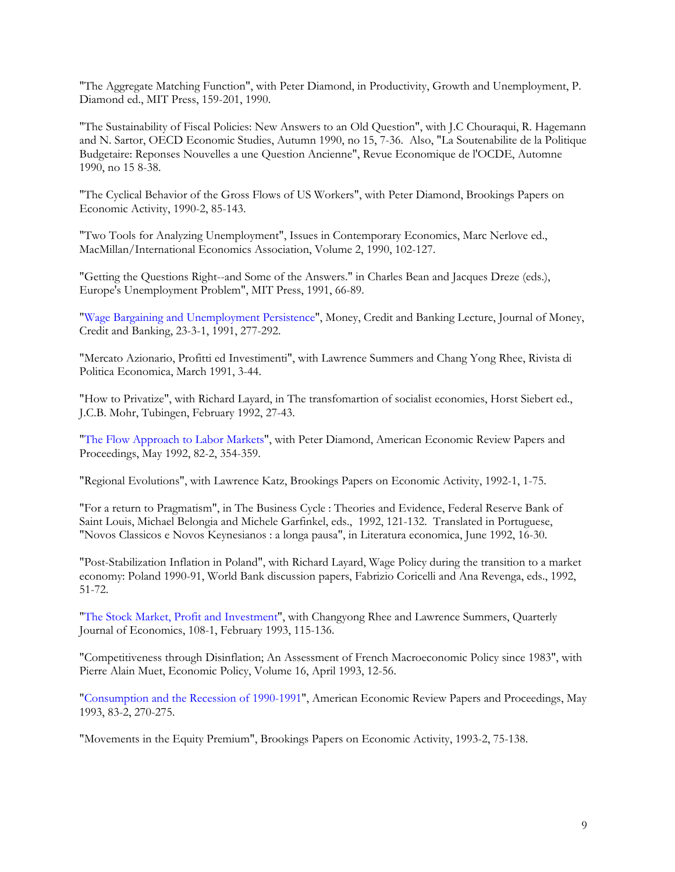"The Aggregate Matching Function", with Peter Diamond, in Productivity, Growth and Unemployment, P. Diamond ed., MIT Press, 159-201, 1990.

"The Sustainability of Fiscal Policies: New Answers to an Old Question", with J.C Chouraqui, R. Hagemann and N. Sartor, OECD Economic Studies, Autumn 1990, no 15, 7-36. Also, "La Soutenabilite de la Politique Budgetaire: Reponses Nouvelles a une Question Ancienne", Revue Economique de l'OCDE, Automne 1990, no 15 8-38.

"The Cyclical Behavior of the Gross Flows of US Workers", with Peter Diamond, Brookings Papers on Economic Activity, 1990-2, 85-143.

"Two Tools for Analyzing Unemployment", Issues in Contemporary Economics, Marc Nerlove ed., MacMillan/International Economics Association, Volume 2, 1990, 102-127.

"Getting the Questions Right--and Some of the Answers." in Charles Bean and Jacques Dreze (eds.), Europe's Unemployment Problem", MIT Press, 1991, 66-89.

"Wage Bargaining and Unemployment Persistence", Money, Credit and Banking Lecture, Journal of Money, Credit and Banking, 23-3-1, 1991, 277-292.

"Mercato Azionario, Profitti ed Investimenti", with Lawrence Summers and Chang Yong Rhee, Rivista di Politica Economica, March 1991, 3-44.

"How to Privatize", with Richard Layard, in The transfomartion of socialist economies, Horst Siebert ed., J.C.B. Mohr, Tubingen, February 1992, 27-43.

"The Flow Approach to Labor Markets", with Peter Diamond, American Economic Review Papers and Proceedings, May 1992, 82-2, 354-359.

"Regional Evolutions", with Lawrence Katz, Brookings Papers on Economic Activity, 1992-1, 1-75.

"For a return to Pragmatism", in The Business Cycle : Theories and Evidence, Federal Reserve Bank of Saint Louis, Michael Belongia and Michele Garfinkel, eds., 1992, 121-132. Translated in Portuguese, "Novos Classicos e Novos Keynesianos : a longa pausa", in Literatura economica, June 1992, 16-30.

"Post-Stabilization Inflation in Poland", with Richard Layard, Wage Policy during the transition to a market economy: Poland 1990-91, World Bank discussion papers, Fabrizio Coricelli and Ana Revenga, eds., 1992, 51-72.

"The Stock Market, Profit and Investment", with Changyong Rhee and Lawrence Summers, Quarterly Journal of Economics, 108-1, February 1993, 115-136.

"Competitiveness through Disinflation; An Assessment of French Macroeconomic Policy since 1983", with Pierre Alain Muet, Economic Policy, Volume 16, April 1993, 12-56.

"Consumption and the Recession of 1990-1991", American Economic Review Papers and Proceedings, May 1993, 83-2, 270-275.

"Movements in the Equity Premium", Brookings Papers on Economic Activity, 1993-2, 75-138.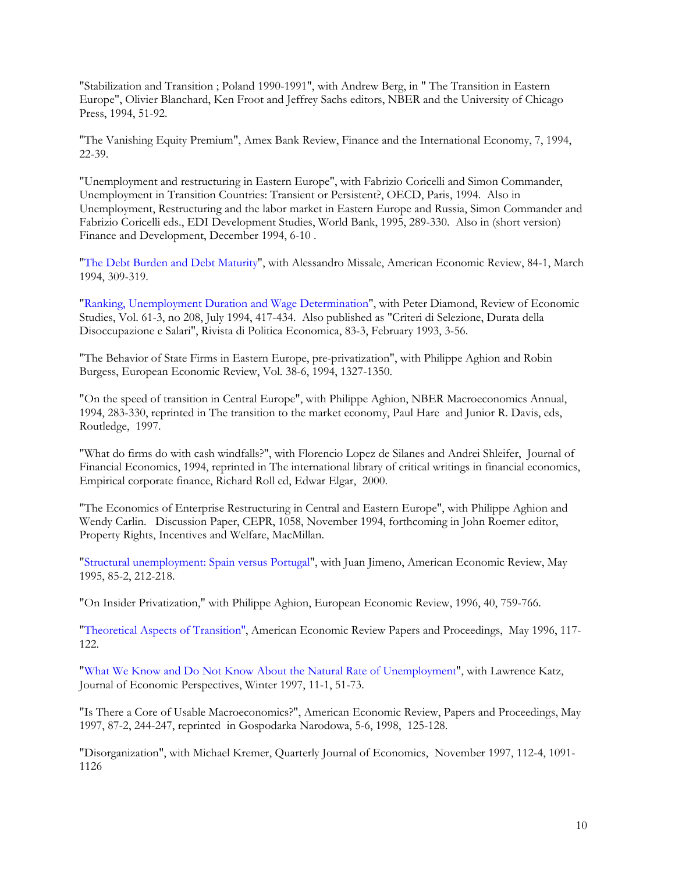"Stabilization and Transition ; Poland 1990-1991", with Andrew Berg, in " The Transition in Eastern Europe", Olivier Blanchard, Ken Froot and Jeffrey Sachs editors, NBER and the University of Chicago Press, 1994, 51-92.

"The Vanishing Equity Premium", Amex Bank Review, Finance and the International Economy, 7, 1994, 22-39.

"Unemployment and restructuring in Eastern Europe", with Fabrizio Coricelli and Simon Commander, Unemployment in Transition Countries: Transient or Persistent?, OECD, Paris, 1994. Also in Unemployment, Restructuring and the labor market in Eastern Europe and Russia, Simon Commander and Fabrizio Coricelli eds., EDI Development Studies, World Bank, 1995, 289-330. Also in (short version) Finance and Development, December 1994, 6-10 .

"The Debt Burden and Debt Maturity", with Alessandro Missale, American Economic Review, 84-1, March 1994, 309-319.

"Ranking, Unemployment Duration and Wage Determination", with Peter Diamond, Review of Economic Studies, Vol. 61-3, no 208, July 1994, 417-434. Also published as "Criteri di Selezione, Durata della Disoccupazione e Salari", Rivista di Politica Economica, 83-3, February 1993, 3-56.

"The Behavior of State Firms in Eastern Europe, pre-privatization", with Philippe Aghion and Robin Burgess, European Economic Review, Vol. 38-6, 1994, 1327-1350.

"On the speed of transition in Central Europe", with Philippe Aghion, NBER Macroeconomics Annual, 1994, 283-330, reprinted in The transition to the market economy, Paul Hare and Junior R. Davis, eds, Routledge, 1997.

"What do firms do with cash windfalls?", with Florencio Lopez de Silanes and Andrei Shleifer, Journal of Financial Economics, 1994, reprinted in The international library of critical writings in financial economics, Empirical corporate finance, Richard Roll ed, Edwar Elgar, 2000.

"The Economics of Enterprise Restructuring in Central and Eastern Europe", with Philippe Aghion and Wendy Carlin. Discussion Paper, CEPR, 1058, November 1994, forthcoming in John Roemer editor, Property Rights, Incentives and Welfare, MacMillan.

"Structural unemployment: Spain versus Portugal", with Juan Jimeno, American Economic Review, May 1995, 85-2, 212-218.

"On Insider Privatization," with Philippe Aghion, European Economic Review, 1996, 40, 759-766.

"Theoretical Aspects of Transition'', American Economic Review Papers and Proceedings, May 1996, 117- 122.

"What We Know and Do Not Know About the Natural Rate of Unemployment", with Lawrence Katz, Journal of Economic Perspectives, Winter 1997, 11-1, 51-73.

"Is There a Core of Usable Macroeconomics?", American Economic Review, Papers and Proceedings, May 1997, 87-2, 244-247, reprinted in Gospodarka Narodowa, 5-6, 1998, 125-128.

"Disorganization", with Michael Kremer, Quarterly Journal of Economics, November 1997, 112-4, 1091- 1126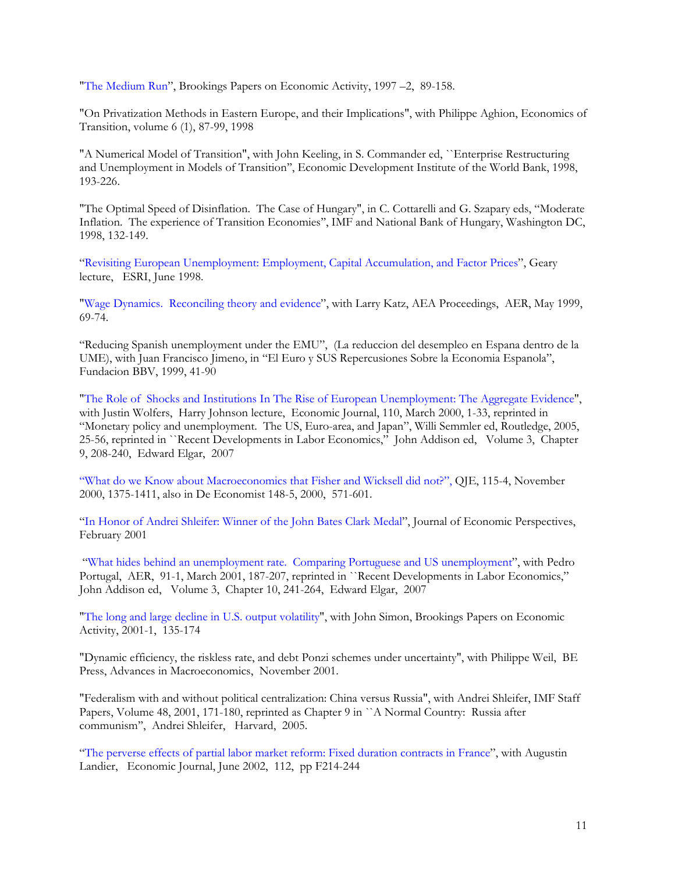"The Medium Run", Brookings Papers on Economic Activity, 1997 –2, 89-158.

"On Privatization Methods in Eastern Europe, and their Implications", with Philippe Aghion, Economics of Transition, volume 6 (1), 87-99, 1998

"A Numerical Model of Transition", with John Keeling, in S. Commander ed, ``Enterprise Restructuring and Unemployment in Models of Transition'', Economic Development Institute of the World Bank, 1998, 193-226.

"The Optimal Speed of Disinflation. The Case of Hungary", in C. Cottarelli and G. Szapary eds, "Moderate Inflation. The experience of Transition Economies'', IMF and National Bank of Hungary, Washington DC, 1998, 132-149.

"Revisiting European Unemployment: Employment, Capital Accumulation, and Factor Prices", Geary lecture, ESRI, June 1998.

"Wage Dynamics. Reconciling theory and evidence", with Larry Katz, AEA Proceedings, AER, May 1999, 69-74.

"Reducing Spanish unemployment under the EMU", (La reduccion del desempleo en Espana dentro de la UME), with Juan Francisco Jimeno, in "El Euro y SUS Repercusiones Sobre la Economia Espanola", Fundacion BBV, 1999, 41-90

"The Role of Shocks and Institutions In The Rise of European Unemployment: The Aggregate Evidence", with Justin Wolfers, Harry Johnson lecture, Economic Journal, 110, March 2000, 1-33, reprinted in "Monetary policy and unemployment. The US, Euro-area, and Japan", Willi Semmler ed, Routledge, 2005, 25-56, reprinted in ``Recent Developments in Labor Economics," John Addison ed, Volume 3, Chapter 9, 208-240, Edward Elgar, 2007

"What do we Know about Macroeconomics that Fisher and Wicksell did not?", QJE, 115-4, November 2000, 1375-1411, also in De Economist 148-5, 2000, 571-601.

"In Honor of Andrei Shleifer: Winner of the John Bates Clark Medal", Journal of Economic Perspectives, February 2001

 "What hides behind an unemployment rate. Comparing Portuguese and US unemployment", with Pedro Portugal, AER, 91-1, March 2001, 187-207, reprinted in ``Recent Developments in Labor Economics," John Addison ed, Volume 3, Chapter 10, 241-264, Edward Elgar, 2007

"The long and large decline in U.S. output volatility", with John Simon, Brookings Papers on Economic Activity, 2001-1, 135-174

"Dynamic efficiency, the riskless rate, and debt Ponzi schemes under uncertainty", with Philippe Weil, BE Press, Advances in Macroeconomics, November 2001.

"Federalism with and without political centralization: China versus Russia", with Andrei Shleifer, IMF Staff Papers, Volume 48, 2001, 171-180, reprinted as Chapter 9 in ``A Normal Country: Russia after communism'', Andrei Shleifer, Harvard, 2005.

"The perverse effects of partial labor market reform: Fixed duration contracts in France", with Augustin Landier, Economic Journal, June 2002, 112, pp F214-244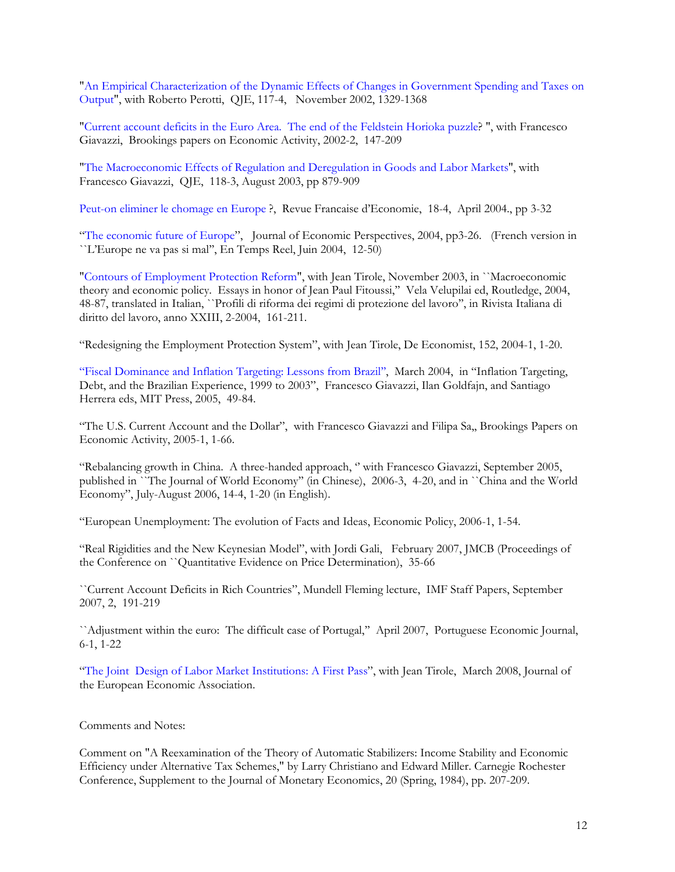"An Empirical Characterization of the Dynamic Effects of Changes in Government Spending and Taxes on Output", with Roberto Perotti, QJE, 117-4, November 2002, 1329-1368

"Current account deficits in the Euro Area. The end of the Feldstein Horioka puzzle? ", with Francesco Giavazzi, Brookings papers on Economic Activity, 2002-2, 147-209

"The Macroeconomic Effects of Regulation and Deregulation in Goods and Labor Markets", with Francesco Giavazzi, QJE, 118-3, August 2003, pp 879-909

Peut-on eliminer le chomage en Europe ?, Revue Francaise d'Economie, 18-4, April 2004., pp 3-32

"The economic future of Europe", Journal of Economic Perspectives, 2004, pp3-26. (French version in ``L'Europe ne va pas si mal'', En Temps Reel, Juin 2004, 12-50)

"Contours of Employment Protection Reform", with Jean Tirole, November 2003, in ``Macroeconomic theory and economic policy. Essays in honor of Jean Paul Fitoussi,'' Vela Velupilai ed, Routledge, 2004, 48-87, translated in Italian, ``Profili di riforma dei regimi di protezione del lavoro'', in Rivista Italiana di diritto del lavoro, anno XXIII, 2-2004, 161-211.

"Redesigning the Employment Protection System", with Jean Tirole, De Economist, 152, 2004-1, 1-20.

"Fiscal Dominance and Inflation Targeting: Lessons from Brazil'', March 2004, in "Inflation Targeting, Debt, and the Brazilian Experience, 1999 to 2003", Francesco Giavazzi, Ilan Goldfajn, and Santiago Herrera eds, MIT Press, 2005, 49-84.

"The U.S. Current Account and the Dollar", with Francesco Giavazzi and Filipa Sa,, Brookings Papers on Economic Activity, 2005-1, 1-66.

"Rebalancing growth in China. A three-handed approach, '' with Francesco Giavazzi, September 2005, published in ``The Journal of World Economy'' (in Chinese), 2006-3, 4-20, and in ``China and the World Economy", July-August 2006, 14-4, 1-20 (in English).

"European Unemployment: The evolution of Facts and Ideas, Economic Policy, 2006-1, 1-54.

"Real Rigidities and the New Keynesian Model", with Jordi Gali, February 2007, JMCB (Proceedings of the Conference on ``Quantitative Evidence on Price Determination), 35-66

``Current Account Deficits in Rich Countries", Mundell Fleming lecture, IMF Staff Papers, September 2007, 2, 191-219

``Adjustment within the euro: The difficult case of Portugal,'' April 2007, Portuguese Economic Journal, 6-1, 1-22

"The Joint Design of Labor Market Institutions: A First Pass", with Jean Tirole, March 2008, Journal of the European Economic Association.

### Comments and Notes:

Comment on "A Reexamination of the Theory of Automatic Stabilizers: Income Stability and Economic Efficiency under Alternative Tax Schemes," by Larry Christiano and Edward Miller. Carnegie Rochester Conference, Supplement to the Journal of Monetary Economics, 20 (Spring, 1984), pp. 207-209.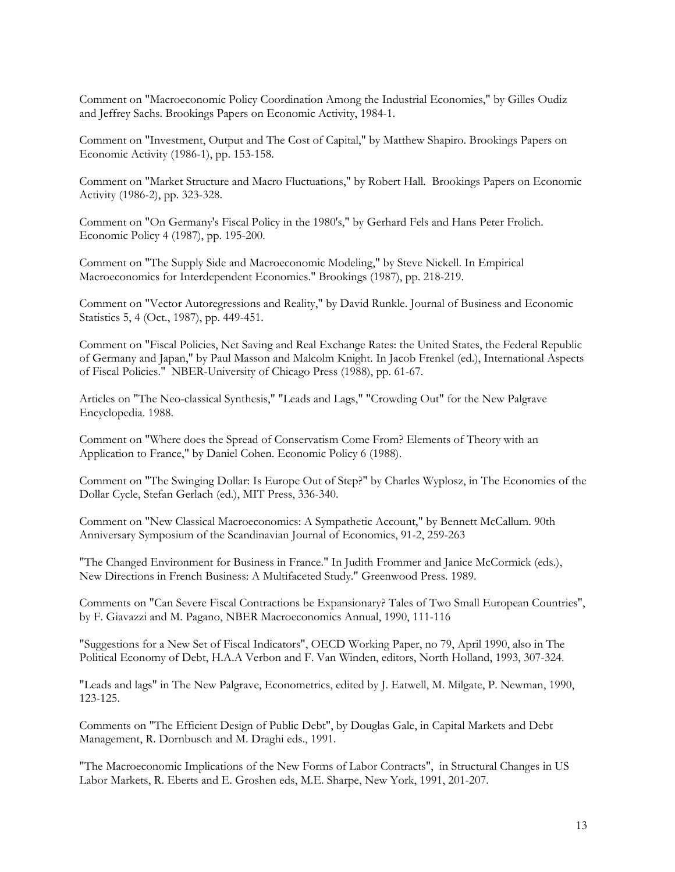Comment on "Macroeconomic Policy Coordination Among the Industrial Economies," by Gilles Oudiz and Jeffrey Sachs. Brookings Papers on Economic Activity, 1984-1.

Comment on "Investment, Output and The Cost of Capital," by Matthew Shapiro. Brookings Papers on Economic Activity (1986-1), pp. 153-158.

Comment on "Market Structure and Macro Fluctuations," by Robert Hall. Brookings Papers on Economic Activity (1986-2), pp. 323-328.

Comment on "On Germany's Fiscal Policy in the 1980's," by Gerhard Fels and Hans Peter Frolich. Economic Policy 4 (1987), pp. 195-200.

Comment on "The Supply Side and Macroeconomic Modeling," by Steve Nickell. In Empirical Macroeconomics for Interdependent Economies." Brookings (1987), pp. 218-219.

Comment on "Vector Autoregressions and Reality," by David Runkle. Journal of Business and Economic Statistics 5, 4 (Oct., 1987), pp. 449-451.

Comment on "Fiscal Policies, Net Saving and Real Exchange Rates: the United States, the Federal Republic of Germany and Japan," by Paul Masson and Malcolm Knight. In Jacob Frenkel (ed.), International Aspects of Fiscal Policies." NBER-University of Chicago Press (1988), pp. 61-67.

Articles on "The Neo-classical Synthesis," "Leads and Lags," "Crowding Out" for the New Palgrave Encyclopedia. 1988.

Comment on "Where does the Spread of Conservatism Come From? Elements of Theory with an Application to France," by Daniel Cohen. Economic Policy 6 (1988).

Comment on "The Swinging Dollar: Is Europe Out of Step?" by Charles Wyplosz, in The Economics of the Dollar Cycle, Stefan Gerlach (ed.), MIT Press, 336-340.

Comment on "New Classical Macroeconomics: A Sympathetic Account," by Bennett McCallum. 90th Anniversary Symposium of the Scandinavian Journal of Economics, 91-2, 259-263

"The Changed Environment for Business in France." In Judith Frommer and Janice McCormick (eds.), New Directions in French Business: A Multifaceted Study." Greenwood Press. 1989.

Comments on "Can Severe Fiscal Contractions be Expansionary? Tales of Two Small European Countries", by F. Giavazzi and M. Pagano, NBER Macroeconomics Annual, 1990, 111-116

"Suggestions for a New Set of Fiscal Indicators", OECD Working Paper, no 79, April 1990, also in The Political Economy of Debt, H.A.A Verbon and F. Van Winden, editors, North Holland, 1993, 307-324.

"Leads and lags" in The New Palgrave, Econometrics, edited by J. Eatwell, M. Milgate, P. Newman, 1990, 123-125.

Comments on "The Efficient Design of Public Debt", by Douglas Gale, in Capital Markets and Debt Management, R. Dornbusch and M. Draghi eds., 1991.

"The Macroeconomic Implications of the New Forms of Labor Contracts", in Structural Changes in US Labor Markets, R. Eberts and E. Groshen eds, M.E. Sharpe, New York, 1991, 201-207.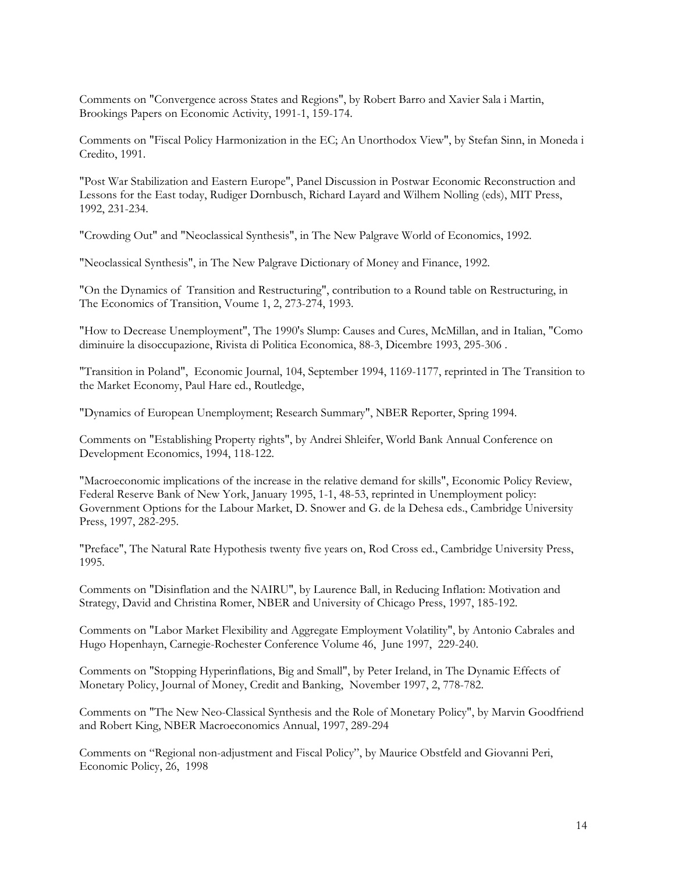Comments on "Convergence across States and Regions", by Robert Barro and Xavier Sala i Martin, Brookings Papers on Economic Activity, 1991-1, 159-174.

Comments on "Fiscal Policy Harmonization in the EC; An Unorthodox View", by Stefan Sinn, in Moneda i Credito, 1991.

"Post War Stabilization and Eastern Europe", Panel Discussion in Postwar Economic Reconstruction and Lessons for the East today, Rudiger Dornbusch, Richard Layard and Wilhem Nolling (eds), MIT Press, 1992, 231-234.

"Crowding Out" and "Neoclassical Synthesis", in The New Palgrave World of Economics, 1992.

"Neoclassical Synthesis", in The New Palgrave Dictionary of Money and Finance, 1992.

"On the Dynamics of Transition and Restructuring", contribution to a Round table on Restructuring, in The Economics of Transition, Voume 1, 2, 273-274, 1993.

"How to Decrease Unemployment", The 1990's Slump: Causes and Cures, McMillan, and in Italian, "Como diminuire la disoccupazione, Rivista di Politica Economica, 88-3, Dicembre 1993, 295-306 .

"Transition in Poland", Economic Journal, 104, September 1994, 1169-1177, reprinted in The Transition to the Market Economy, Paul Hare ed., Routledge,

"Dynamics of European Unemployment; Research Summary", NBER Reporter, Spring 1994.

Comments on "Establishing Property rights", by Andrei Shleifer, World Bank Annual Conference on Development Economics, 1994, 118-122.

"Macroeconomic implications of the increase in the relative demand for skills", Economic Policy Review, Federal Reserve Bank of New York, January 1995, 1-1, 48-53, reprinted in Unemployment policy: Government Options for the Labour Market, D. Snower and G. de la Dehesa eds., Cambridge University Press, 1997, 282-295.

"Preface", The Natural Rate Hypothesis twenty five years on, Rod Cross ed., Cambridge University Press, 1995.

Comments on "Disinflation and the NAIRU", by Laurence Ball, in Reducing Inflation: Motivation and Strategy, David and Christina Romer, NBER and University of Chicago Press, 1997, 185-192.

Comments on "Labor Market Flexibility and Aggregate Employment Volatility", by Antonio Cabrales and Hugo Hopenhayn, Carnegie-Rochester Conference Volume 46, June 1997, 229-240.

Comments on "Stopping Hyperinflations, Big and Small", by Peter Ireland, in The Dynamic Effects of Monetary Policy, Journal of Money, Credit and Banking, November 1997, 2, 778-782.

Comments on "The New Neo-Classical Synthesis and the Role of Monetary Policy", by Marvin Goodfriend and Robert King, NBER Macroeconomics Annual, 1997, 289-294

Comments on "Regional non-adjustment and Fiscal Policy", by Maurice Obstfeld and Giovanni Peri, Economic Policy, 26, 1998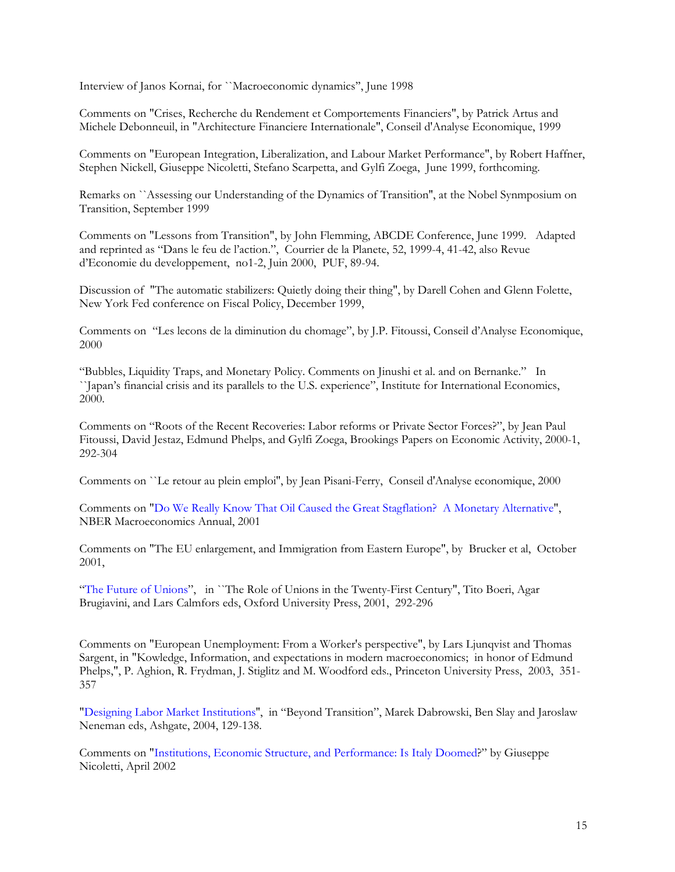Interview of Janos Kornai, for ``Macroeconomic dynamics'', June 1998

Comments on "Crises, Recherche du Rendement et Comportements Financiers", by Patrick Artus and Michele Debonneuil, in "Architecture Financiere Internationale", Conseil d'Analyse Economique, 1999

Comments on "European Integration, Liberalization, and Labour Market Performance", by Robert Haffner, Stephen Nickell, Giuseppe Nicoletti, Stefano Scarpetta, and Gylfi Zoega, June 1999, forthcoming.

Remarks on ``Assessing our Understanding of the Dynamics of Transition'', at the Nobel Synmposium on Transition, September 1999

Comments on "Lessons from Transition", by John Flemming, ABCDE Conference, June 1999. Adapted and reprinted as "Dans le feu de l'action.", Courrier de la Planete, 52, 1999-4, 41-42, also Revue d'Economie du developpement, no1-2, Juin 2000, PUF, 89-94.

Discussion of "The automatic stabilizers: Quietly doing their thing", by Darell Cohen and Glenn Folette, New York Fed conference on Fiscal Policy, December 1999,

Comments on "Les lecons de la diminution du chomage", by J.P. Fitoussi, Conseil d'Analyse Economique, 2000

"Bubbles, Liquidity Traps, and Monetary Policy. Comments on Jinushi et al. and on Bernanke." In ``Japan's financial crisis and its parallels to the U.S. experience", Institute for International Economics, 2000.

Comments on "Roots of the Recent Recoveries: Labor reforms or Private Sector Forces?", by Jean Paul Fitoussi, David Jestaz, Edmund Phelps, and Gylfi Zoega, Brookings Papers on Economic Activity, 2000-1, 292-304

Comments on ``Le retour au plein emploi'', by Jean Pisani-Ferry, Conseil d'Analyse economique, 2000

Comments on "Do We Really Know That Oil Caused the Great Stagflation? A Monetary Alternative", NBER Macroeconomics Annual, 2001

Comments on "The EU enlargement, and Immigration from Eastern Europe", by Brucker et al, October 2001,

"The Future of Unions", in ``The Role of Unions in the Twenty-First Century", Tito Boeri, Agar Brugiavini, and Lars Calmfors eds, Oxford University Press, 2001, 292-296

Comments on "European Unemployment: From a Worker's perspective", by Lars Ljunqvist and Thomas Sargent, in "Kowledge, Information, and expectations in modern macroeconomics; in honor of Edmund Phelps,", P. Aghion, R. Frydman, J. Stiglitz and M. Woodford eds., Princeton University Press, 2003, 351- 357

"Designing Labor Market Institutions'', in "Beyond Transition", Marek Dabrowski, Ben Slay and Jaroslaw Neneman eds, Ashgate, 2004, 129-138.

Comments on "Institutions, Economic Structure, and Performance: Is Italy Doomed?" by Giuseppe Nicoletti, April 2002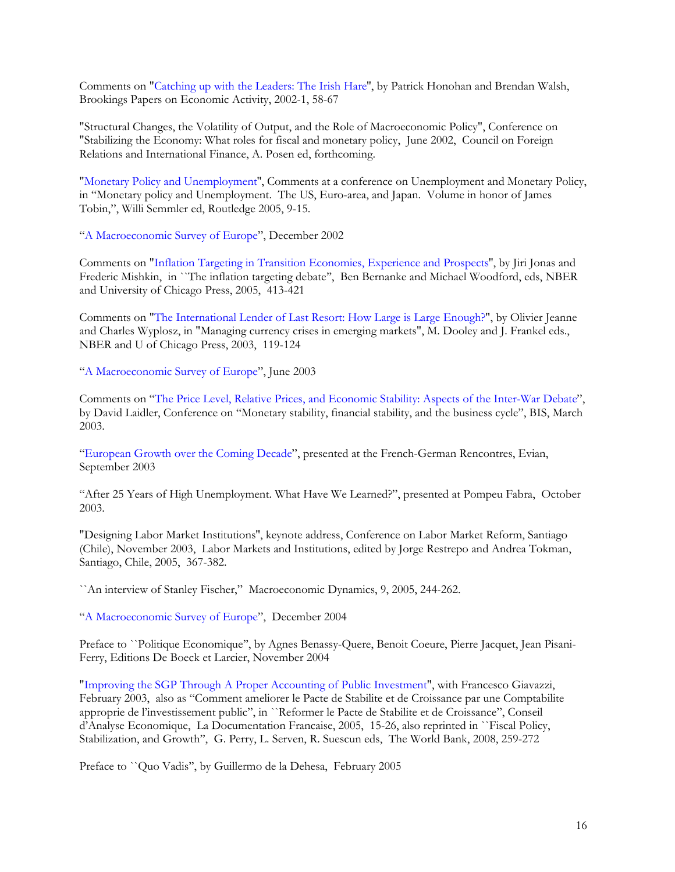Comments on "Catching up with the Leaders: The Irish Hare'', by Patrick Honohan and Brendan Walsh, Brookings Papers on Economic Activity, 2002-1, 58-67

"Structural Changes, the Volatility of Output, and the Role of Macroeconomic Policy", Conference on "Stabilizing the Economy: What roles for fiscal and monetary policy, June 2002, Council on Foreign Relations and International Finance, A. Posen ed, forthcoming.

"Monetary Policy and Unemployment'', Comments at a conference on Unemployment and Monetary Policy, in "Monetary policy and Unemployment. The US, Euro-area, and Japan. Volume in honor of James Tobin,", Willi Semmler ed, Routledge 2005, 9-15.

"A Macroeconomic Survey of Europe", December 2002

Comments on "Inflation Targeting in Transition Economies, Experience and Prospects'', by Jiri Jonas and Frederic Mishkin, in ``The inflation targeting debate'', Ben Bernanke and Michael Woodford, eds, NBER and University of Chicago Press, 2005, 413-421

Comments on "The International Lender of Last Resort: How Large is Large Enough?", by Olivier Jeanne and Charles Wyplosz, in "Managing currency crises in emerging markets", M. Dooley and J. Frankel eds., NBER and U of Chicago Press, 2003, 119-124

"A Macroeconomic Survey of Europe", June 2003

Comments on "The Price Level, Relative Prices, and Economic Stability: Aspects of the Inter-War Debate", by David Laidler, Conference on "Monetary stability, financial stability, and the business cycle", BIS, March 2003.

"European Growth over the Coming Decade", presented at the French-German Rencontres, Evian, September 2003

"After 25 Years of High Unemployment. What Have We Learned?", presented at Pompeu Fabra, October 2003.

"Designing Labor Market Institutions'', keynote address, Conference on Labor Market Reform, Santiago (Chile), November 2003, Labor Markets and Institutions, edited by Jorge Restrepo and Andrea Tokman, Santiago, Chile, 2005, 367-382.

``An interview of Stanley Fischer," Macroeconomic Dynamics, 9, 2005, 244-262.

"A Macroeconomic Survey of Europe", December 2004

Preface to ``Politique Economique'', by Agnes Benassy-Quere, Benoit Coeure, Pierre Jacquet, Jean Pisani-Ferry, Editions De Boeck et Larcier, November 2004

"Improving the SGP Through A Proper Accounting of Public Investment", with Francesco Giavazzi, February 2003, also as "Comment ameliorer le Pacte de Stabilite et de Croissance par une Comptabilite approprie de l'investissement public", in ``Reformer le Pacte de Stabilite et de Croissance", Conseil d'Analyse Economique, La Documentation Francaise, 2005, 15-26, also reprinted in ``Fiscal Policy, Stabilization, and Growth'', G. Perry, L. Serven, R. Suescun eds, The World Bank, 2008, 259-272

Preface to ``Quo Vadis'', by Guillermo de la Dehesa, February 2005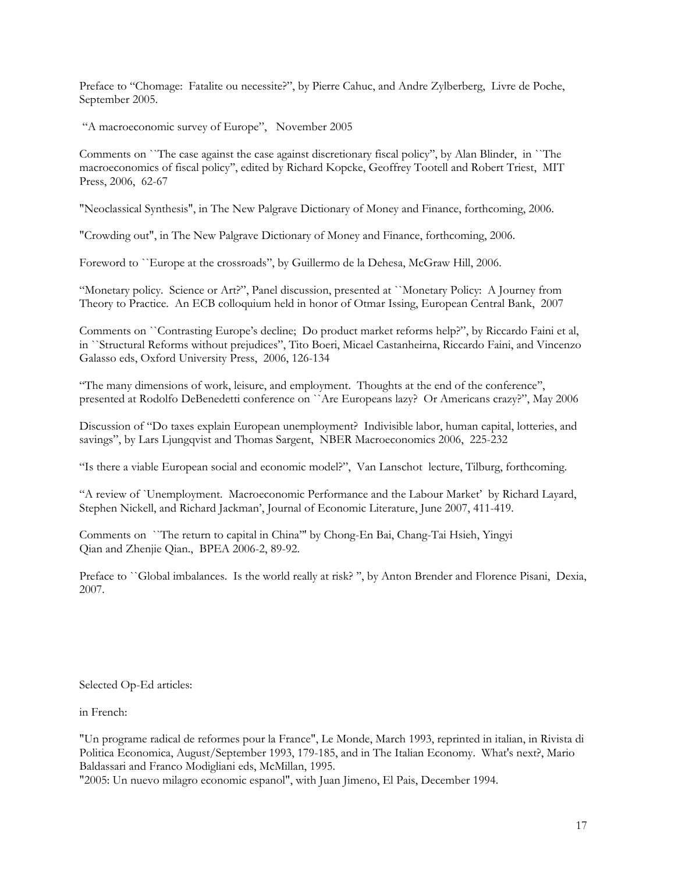Preface to "Chomage: Fatalite ou necessite?", by Pierre Cahuc, and Andre Zylberberg, Livre de Poche, September 2005.

"A macroeconomic survey of Europe", November 2005

Comments on ``The case against the case against discretionary fiscal policy'', by Alan Blinder, in ``The macroeconomics of fiscal policy'', edited by Richard Kopcke, Geoffrey Tootell and Robert Triest, MIT Press, 2006, 62-67

"Neoclassical Synthesis", in The New Palgrave Dictionary of Money and Finance, forthcoming, 2006.

"Crowding out", in The New Palgrave Dictionary of Money and Finance, forthcoming, 2006.

Foreword to ``Europe at the crossroads'', by Guillermo de la Dehesa, McGraw Hill, 2006.

"Monetary policy. Science or Art?", Panel discussion, presented at ``Monetary Policy: A Journey from Theory to Practice. An ECB colloquium held in honor of Otmar Issing, European Central Bank, 2007

Comments on ``Contrasting Europe's decline; Do product market reforms help?", by Riccardo Faini et al, in ``Structural Reforms without prejudices", Tito Boeri, Micael Castanheirna, Riccardo Faini, and Vincenzo Galasso eds, Oxford University Press, 2006, 126-134

"The many dimensions of work, leisure, and employment. Thoughts at the end of the conference'', presented at Rodolfo DeBenedetti conference on ``Are Europeans lazy? Or Americans crazy?", May 2006

Discussion of "Do taxes explain European unemployment? Indivisible labor, human capital, lotteries, and savings", by Lars Ljungqvist and Thomas Sargent, NBER Macroeconomics 2006, 225-232

"Is there a viable European social and economic model?", Van Lanschot lecture, Tilburg, forthcoming.

"A review of `Unemployment. Macroeconomic Performance and the Labour Market' by Richard Layard, Stephen Nickell, and Richard Jackman', Journal of Economic Literature, June 2007, 411-419.

Comments on ``The return to capital in China''' by Chong-En Bai, Chang-Tai Hsieh, Yingyi Qian and Zhenjie Qian., BPEA 2006-2, 89-92.

Preface to ``Global imbalances. Is the world really at risk? ", by Anton Brender and Florence Pisani, Dexia, 2007.

Selected Op-Ed articles:

in French:

"Un programe radical de reformes pour la France", Le Monde, March 1993, reprinted in italian, in Rivista di Politica Economica, August/September 1993, 179-185, and in The Italian Economy. What's next?, Mario Baldassari and Franco Modigliani eds, McMillan, 1995.

"2005: Un nuevo milagro economic espanol", with Juan Jimeno, El Pais, December 1994.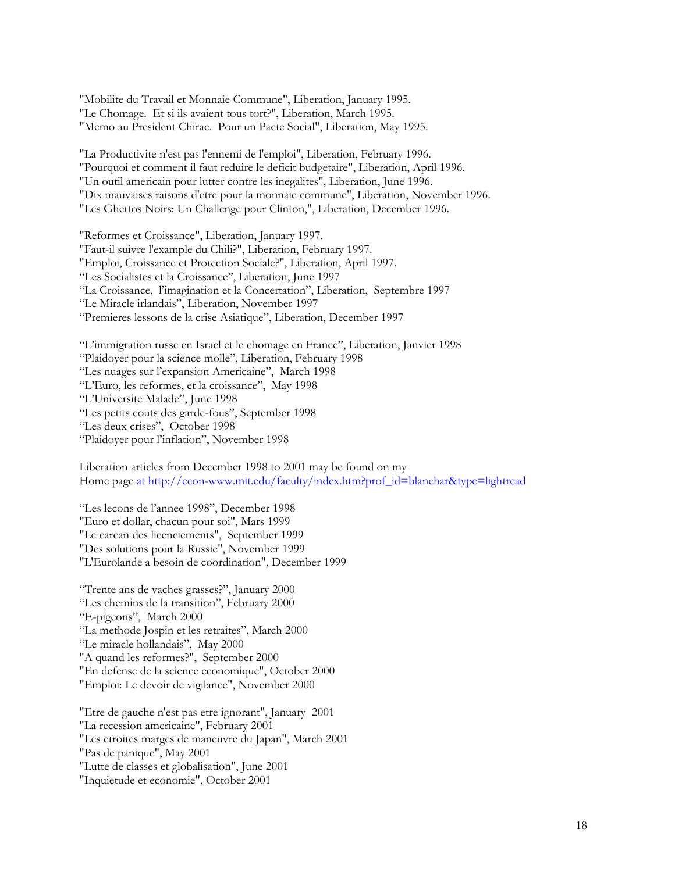"Mobilite du Travail et Monnaie Commune", Liberation, January 1995. "Le Chomage. Et si ils avaient tous tort?", Liberation, March 1995. "Memo au President Chirac. Pour un Pacte Social", Liberation, May 1995.

"La Productivite n'est pas l'ennemi de l'emploi", Liberation, February 1996. "Pourquoi et comment il faut reduire le deficit budgetaire", Liberation, April 1996. "Un outil americain pour lutter contre les inegalites", Liberation, June 1996. "Dix mauvaises raisons d'etre pour la monnaie commune", Liberation, November 1996. "Les Ghettos Noirs: Un Challenge pour Clinton,", Liberation, December 1996.

"Reformes et Croissance", Liberation, January 1997. "Faut-il suivre l'example du Chili?", Liberation, February 1997. "Emploi, Croissance et Protection Sociale?", Liberation, April 1997. "Les Socialistes et la Croissance'', Liberation, June 1997 "La Croissance, l'imagination et la Concertation", Liberation, Septembre 1997 "Le Miracle irlandais", Liberation, November 1997 "Premieres lessons de la crise Asiatique", Liberation, December 1997

"L'immigration russe en Israel et le chomage en France'', Liberation, Janvier 1998 "Plaidoyer pour la science molle'', Liberation, February 1998 "Les nuages sur l'expansion Americaine", March 1998 "L'Euro, les reformes, et la croissance", May 1998 "L'Universite Malade", June 1998 "Les petits couts des garde-fous", September 1998 "Les deux crises", October 1998 "Plaidoyer pour l'inflation", November 1998

Liberation articles from December 1998 to 2001 may be found on my Home page at http://econ-www.mit.edu/faculty/index.htm?prof\_id=blanchar&type=lightread

"Les lecons de l'annee 1998", December 1998 "Euro et dollar, chacun pour soi", Mars 1999 "Le carcan des licenciements", September 1999 "Des solutions pour la Russie", November 1999 "L'Eurolande a besoin de coordination", December 1999

"Trente ans de vaches grasses?", January 2000 "Les chemins de la transition", February 2000 "E-pigeons", March 2000 "La methode Jospin et les retraites", March 2000 "Le miracle hollandais", May 2000 "A quand les reformes?", September 2000 "En defense de la science economique", October 2000 "Emploi: Le devoir de vigilance", November 2000

"Etre de gauche n'est pas etre ignorant", January 2001 "La recession americaine", February 2001 "Les etroites marges de maneuvre du Japan", March 2001 "Pas de panique", May 2001 "Lutte de classes et globalisation", June 2001 "Inquietude et economie", October 2001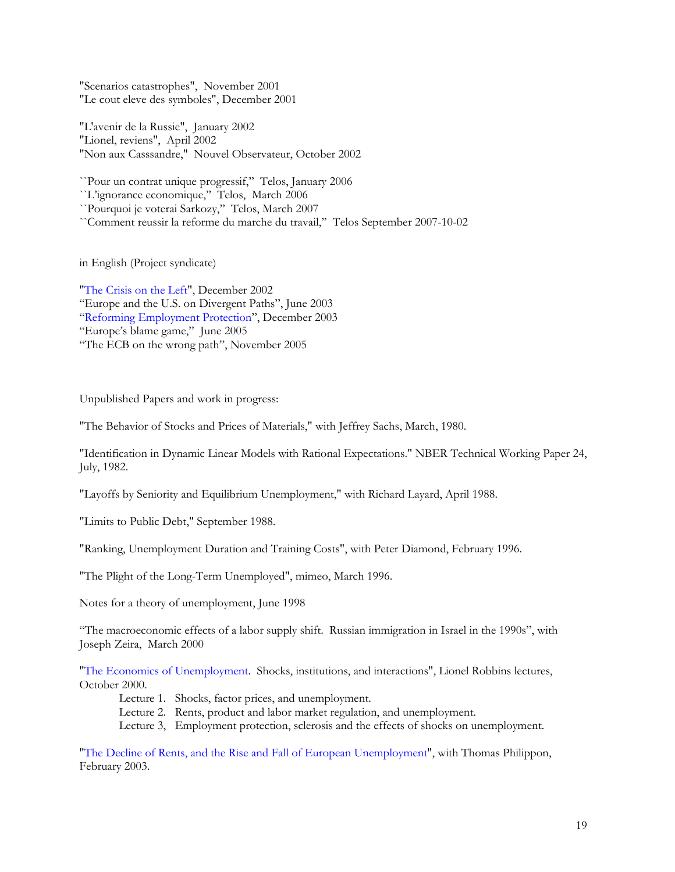"Scenarios catastrophes", November 2001 "Le cout eleve des symboles", December 2001

"L'avenir de la Russie", January 2002 "Lionel, reviens", April 2002 "Non aux Casssandre," Nouvel Observateur, October 2002

``Pour un contrat unique progressif,'' Telos, January 2006

``L'ignorance economique,'' Telos, March 2006

``Pourquoi je voterai Sarkozy,'' Telos, March 2007

``Comment reussir la reforme du marche du travail,'' Telos September 2007-10-02

in English (Project syndicate)

"The Crisis on the Left", December 2002 "Europe and the U.S. on Divergent Paths", June 2003 "Reforming Employment Protection", December 2003 "Europe's blame game," June 2005 "The ECB on the wrong path", November 2005

Unpublished Papers and work in progress:

"The Behavior of Stocks and Prices of Materials," with Jeffrey Sachs, March, 1980.

"Identification in Dynamic Linear Models with Rational Expectations." NBER Technical Working Paper 24, July, 1982.

"Layoffs by Seniority and Equilibrium Unemployment," with Richard Layard, April 1988.

"Limits to Public Debt," September 1988.

"Ranking, Unemployment Duration and Training Costs", with Peter Diamond, February 1996.

"The Plight of the Long-Term Unemployed", mimeo, March 1996.

Notes for a theory of unemployment, June 1998

"The macroeconomic effects of a labor supply shift. Russian immigration in Israel in the 1990s", with Joseph Zeira, March 2000

"The Economics of Unemployment. Shocks, institutions, and interactions", Lionel Robbins lectures, October 2000.

- Lecture 1. Shocks, factor prices, and unemployment.
- Lecture 2. Rents, product and labor market regulation, and unemployment.
- Lecture 3, Employment protection, sclerosis and the effects of shocks on unemployment.

"The Decline of Rents, and the Rise and Fall of European Unemployment", with Thomas Philippon, February 2003.